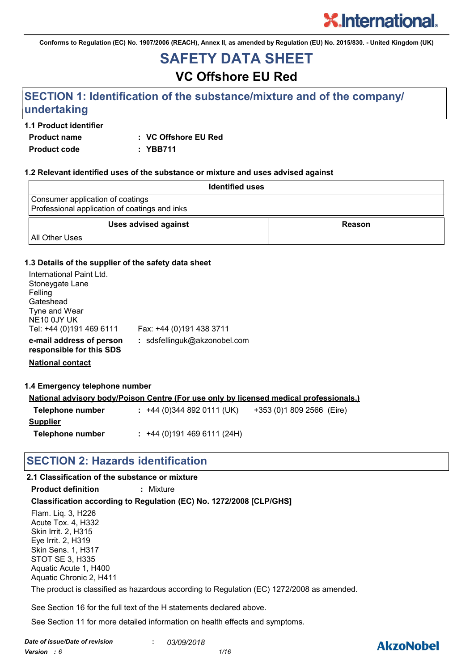**Conforms to Regulation (EC) No. 1907/2006 (REACH), Annex II, as amended by Regulation (EU) No. 2015/830. - United Kingdom (UK)**

# **SAFETY DATA SHEET**

# **VC Offshore EU Red**

## **SECTION 1: Identification of the substance/mixture and of the company/ undertaking**

#### **1.1 Product identifier**

**Product name : VC Offshore EU Red**

**Product code : YBB711**

#### **1.2 Relevant identified uses of the substance or mixture and uses advised against**

| <b>Identified uses</b>                                                            |        |
|-----------------------------------------------------------------------------------|--------|
| Consumer application of coatings<br>Professional application of coatings and inks |        |
| <b>Uses advised against</b>                                                       | Reason |
| <b>All Other Uses</b>                                                             |        |

#### **1.3 Details of the supplier of the safety data sheet**

| International Paint Ltd.<br>Stoneygate Lane<br>Felling |                              |
|--------------------------------------------------------|------------------------------|
| Gateshead                                              |                              |
| Tyne and Wear                                          |                              |
| NE10 0JY UK                                            |                              |
| Tel: +44 (0)191 469 6111                               | Fax: +44 (0)191 438 3711     |
| e-mail address of person<br>responsible for this SDS   | : sdsfellinguk@akzonobel.com |

**National contact**

#### **1.4 Emergency telephone number**

|                  |                           | <u>National advisory body/Poison Centre (For use only by licensed medical professionals.)</u> |
|------------------|---------------------------|-----------------------------------------------------------------------------------------------|
| Telephone number | $: +44(0)3448920111(UK)$  | +353 (0)1 809 2566 (Eire)                                                                     |
| Supplier         |                           |                                                                                               |
| Telephone number | $: +44(0)1914696111(24H)$ |                                                                                               |

### **SECTION 2: Hazards identification**

### **2.1 Classification of the substance or mixture**

**Product definition :** Mixture

### **Classification according to Regulation (EC) No. 1272/2008 [CLP/GHS]**

Flam. Liq. 3, H226 Acute Tox. 4, H332 Skin Irrit. 2, H315 Eye Irrit. 2, H319 Skin Sens. 1, H317 STOT SE 3, H335 Aquatic Acute 1, H400 Aquatic Chronic 2, H411 The product is classified as hazardous according to Regulation (EC) 1272/2008 as amended.

See Section 16 for the full text of the H statements declared above.

See Section 11 for more detailed information on health effects and symptoms.

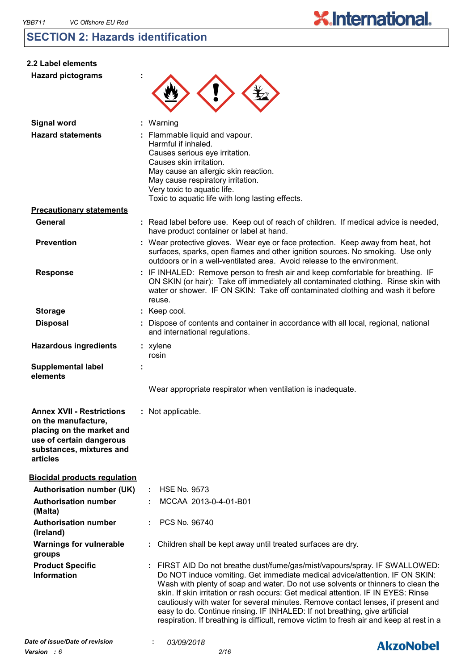## **SECTION 2: Hazards identification**

| 2.2 Label elements                                                                                                                                       |                                                                                                                                                                                                                                                                                                                                                                                                                                                                                                                                                                                                   |  |
|----------------------------------------------------------------------------------------------------------------------------------------------------------|---------------------------------------------------------------------------------------------------------------------------------------------------------------------------------------------------------------------------------------------------------------------------------------------------------------------------------------------------------------------------------------------------------------------------------------------------------------------------------------------------------------------------------------------------------------------------------------------------|--|
| <b>Hazard pictograms</b>                                                                                                                                 |                                                                                                                                                                                                                                                                                                                                                                                                                                                                                                                                                                                                   |  |
| <b>Signal word</b>                                                                                                                                       | : Warning                                                                                                                                                                                                                                                                                                                                                                                                                                                                                                                                                                                         |  |
| <b>Hazard statements</b>                                                                                                                                 | : Flammable liquid and vapour.<br>Harmful if inhaled.<br>Causes serious eye irritation.<br>Causes skin irritation.<br>May cause an allergic skin reaction.<br>May cause respiratory irritation.<br>Very toxic to aquatic life.<br>Toxic to aquatic life with long lasting effects.                                                                                                                                                                                                                                                                                                                |  |
| <b>Precautionary statements</b>                                                                                                                          |                                                                                                                                                                                                                                                                                                                                                                                                                                                                                                                                                                                                   |  |
| General                                                                                                                                                  | : Read label before use. Keep out of reach of children. If medical advice is needed,<br>have product container or label at hand.                                                                                                                                                                                                                                                                                                                                                                                                                                                                  |  |
| <b>Prevention</b>                                                                                                                                        | : Wear protective gloves. Wear eye or face protection. Keep away from heat, hot<br>surfaces, sparks, open flames and other ignition sources. No smoking. Use only<br>outdoors or in a well-ventilated area. Avoid release to the environment.                                                                                                                                                                                                                                                                                                                                                     |  |
| <b>Response</b>                                                                                                                                          | : IF INHALED: Remove person to fresh air and keep comfortable for breathing. IF<br>ON SKIN (or hair): Take off immediately all contaminated clothing. Rinse skin with<br>water or shower. IF ON SKIN: Take off contaminated clothing and wash it before<br>reuse.                                                                                                                                                                                                                                                                                                                                 |  |
| <b>Storage</b>                                                                                                                                           | : Keep cool.                                                                                                                                                                                                                                                                                                                                                                                                                                                                                                                                                                                      |  |
| <b>Disposal</b>                                                                                                                                          | Dispose of contents and container in accordance with all local, regional, national<br>and international regulations.                                                                                                                                                                                                                                                                                                                                                                                                                                                                              |  |
| <b>Hazardous ingredients</b>                                                                                                                             | : xylene<br>rosin                                                                                                                                                                                                                                                                                                                                                                                                                                                                                                                                                                                 |  |
| <b>Supplemental label</b><br>elements                                                                                                                    | Wear appropriate respirator when ventilation is inadequate.                                                                                                                                                                                                                                                                                                                                                                                                                                                                                                                                       |  |
| <b>Annex XVII - Restrictions</b><br>on the manufacture,<br>placing on the market and<br>use of certain dangerous<br>substances, mixtures and<br>articles | : Not applicable.                                                                                                                                                                                                                                                                                                                                                                                                                                                                                                                                                                                 |  |
| <b>Biocidal products regulation</b>                                                                                                                      |                                                                                                                                                                                                                                                                                                                                                                                                                                                                                                                                                                                                   |  |
| <b>Authorisation number (UK)</b>                                                                                                                         | <b>HSE No. 9573</b>                                                                                                                                                                                                                                                                                                                                                                                                                                                                                                                                                                               |  |
| <b>Authorisation number</b><br>(Malta)                                                                                                                   | MCCAA 2013-0-4-01-B01                                                                                                                                                                                                                                                                                                                                                                                                                                                                                                                                                                             |  |
| <b>Authorisation number</b><br>(Ireland)                                                                                                                 | PCS No. 96740                                                                                                                                                                                                                                                                                                                                                                                                                                                                                                                                                                                     |  |
| <b>Warnings for vulnerable</b><br>groups                                                                                                                 | : Children shall be kept away until treated surfaces are dry.                                                                                                                                                                                                                                                                                                                                                                                                                                                                                                                                     |  |
| <b>Product Specific</b><br><b>Information</b>                                                                                                            | : FIRST AID Do not breathe dust/fume/gas/mist/vapours/spray. IF SWALLOWED:<br>Do NOT induce vomiting. Get immediate medical advice/attention. IF ON SKIN:<br>Wash with plenty of soap and water. Do not use solvents or thinners to clean the<br>skin. If skin irritation or rash occurs: Get medical attention. IF IN EYES: Rinse<br>cautiously with water for several minutes. Remove contact lenses, if present and<br>easy to do. Continue rinsing. IF INHALED: If not breathing, give artificial<br>respiration. If breathing is difficult, remove victim to fresh air and keep at rest in a |  |
| Date of issue/Date of revision                                                                                                                           | 03/09/2018<br><b>Alizablahal</b>                                                                                                                                                                                                                                                                                                                                                                                                                                                                                                                                                                  |  |

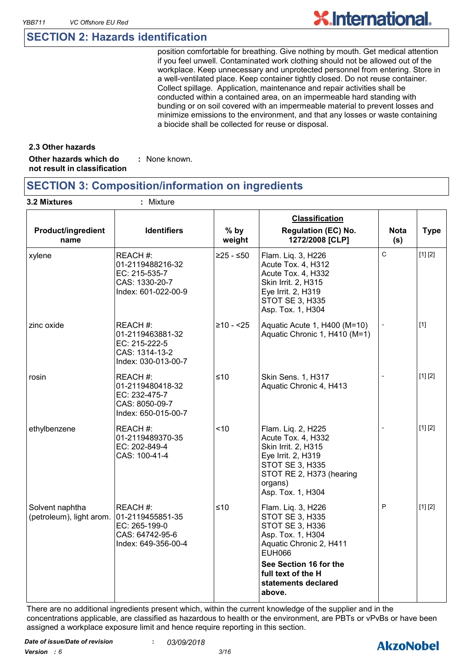### **SECTION 2: Hazards identification**

position comfortable for breathing. Give nothing by mouth. Get medical attention if you feel unwell. Contaminated work clothing should not be allowed out of the workplace. Keep unnecessary and unprotected personnel from entering. Store in a well-ventilated place. Keep container tightly closed. Do not reuse container. Collect spillage. Application, maintenance and repair activities shall be conducted within a contained area, on an impermeable hard standing with bunding or on soil covered with an impermeable material to prevent losses and minimize emissions to the environment, and that any losses or waste containing a biocide shall be collected for reuse or disposal.

#### **2.3 Other hazards**

**Other hazards which do : not result in classification** : None known.

### **SECTION 3: Composition/information on ingredients**

| 3.2 Mixtures                                                 | : Mixture                                                                              |                  |                                                                                                                                                                                                            |                    |             |
|--------------------------------------------------------------|----------------------------------------------------------------------------------------|------------------|------------------------------------------------------------------------------------------------------------------------------------------------------------------------------------------------------------|--------------------|-------------|
| Product/ingredient<br>name                                   | <b>Identifiers</b>                                                                     | $%$ by<br>weight | <b>Classification</b><br><b>Regulation (EC) No.</b><br>1272/2008 [CLP]                                                                                                                                     | <b>Nota</b><br>(s) | <b>Type</b> |
| xylene                                                       | REACH#:<br>01-2119488216-32<br>EC: 215-535-7<br>CAS: 1330-20-7<br>Index: 601-022-00-9  | $≥25 - ≤50$      | Flam. Liq. 3, H226<br>Acute Tox. 4, H312<br>Acute Tox. 4, H332<br>Skin Irrit. 2, H315<br>Eye Irrit. 2, H319<br><b>STOT SE 3, H335</b><br>Asp. Tox. 1, H304                                                 | C                  | [1] [2]     |
| zinc oxide                                                   | REACH#:<br>01-2119463881-32<br>EC: 215-222-5<br>CAS: 1314-13-2<br>Index: 030-013-00-7  | $≥10 - 25$       | Aquatic Acute 1, H400 (M=10)<br>Aquatic Chronic 1, H410 (M=1)                                                                                                                                              |                    | $[1]$       |
| rosin                                                        | REACH #:<br>01-2119480418-32<br>EC: 232-475-7<br>CAS: 8050-09-7<br>Index: 650-015-00-7 | ≤10              | Skin Sens. 1, H317<br>Aquatic Chronic 4, H413                                                                                                                                                              |                    | [1] [2]     |
| ethylbenzene                                                 | REACH #:<br>01-2119489370-35<br>EC: 202-849-4<br>CAS: 100-41-4                         | <10              | Flam. Liq. 2, H225<br>Acute Tox. 4, H332<br>Skin Irrit. 2, H315<br>Eye Irrit. 2, H319<br><b>STOT SE 3, H335</b><br>STOT RE 2, H373 (hearing<br>organs)<br>Asp. Tox. 1, H304                                | $\overline{a}$     | [1] [2]     |
| Solvent naphtha<br>(petroleum), light arom. 01-2119455851-35 | REACH#:<br>EC: 265-199-0<br>CAS: 64742-95-6<br>Index: 649-356-00-4                     | $≤10$            | Flam. Liq. 3, H226<br>STOT SE 3, H335<br>STOT SE 3, H336<br>Asp. Tox. 1, H304<br>Aquatic Chronic 2, H411<br><b>EUH066</b><br>See Section 16 for the<br>full text of the H<br>statements declared<br>above. | P                  | [1] [2]     |

There are no additional ingredients present which, within the current knowledge of the supplier and in the concentrations applicable, are classified as hazardous to health or the environment, are PBTs or vPvBs or have been assigned a workplace exposure limit and hence require reporting in this section.

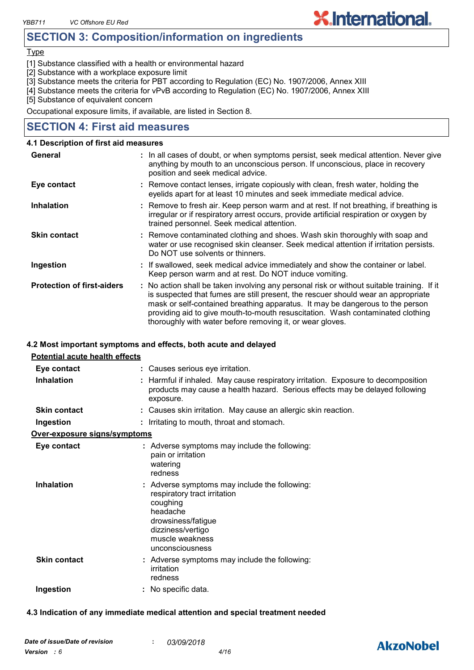### **SECTION 3: Composition/information on ingredients**

#### Type

[1] Substance classified with a health or environmental hazard

[2] Substance with a workplace exposure limit

[3] Substance meets the criteria for PBT according to Regulation (EC) No. 1907/2006, Annex XIII

[4] Substance meets the criteria for vPvB according to Regulation (EC) No. 1907/2006, Annex XIII

[5] Substance of equivalent concern

Occupational exposure limits, if available, are listed in Section 8.

### **SECTION 4: First aid measures**

#### **4.1 Description of first aid measures**

| General                           | : In all cases of doubt, or when symptoms persist, seek medical attention. Never give<br>anything by mouth to an unconscious person. If unconscious, place in recovery<br>position and seek medical advice.                                                                                                                                                                                                     |
|-----------------------------------|-----------------------------------------------------------------------------------------------------------------------------------------------------------------------------------------------------------------------------------------------------------------------------------------------------------------------------------------------------------------------------------------------------------------|
| Eye contact                       | : Remove contact lenses, irrigate copiously with clean, fresh water, holding the<br>eyelids apart for at least 10 minutes and seek immediate medical advice.                                                                                                                                                                                                                                                    |
| <b>Inhalation</b>                 | : Remove to fresh air. Keep person warm and at rest. If not breathing, if breathing is<br>irregular or if respiratory arrest occurs, provide artificial respiration or oxygen by<br>trained personnel. Seek medical attention.                                                                                                                                                                                  |
| <b>Skin contact</b>               | : Remove contaminated clothing and shoes. Wash skin thoroughly with soap and<br>water or use recognised skin cleanser. Seek medical attention if irritation persists.<br>Do NOT use solvents or thinners.                                                                                                                                                                                                       |
| Ingestion                         | : If swallowed, seek medical advice immediately and show the container or label.<br>Keep person warm and at rest. Do NOT induce vomiting.                                                                                                                                                                                                                                                                       |
| <b>Protection of first-aiders</b> | : No action shall be taken involving any personal risk or without suitable training. If it<br>is suspected that fumes are still present, the rescuer should wear an appropriate<br>mask or self-contained breathing apparatus. It may be dangerous to the person<br>providing aid to give mouth-to-mouth resuscitation. Wash contaminated clothing<br>thoroughly with water before removing it, or wear gloves. |

#### **4.2 Most important symptoms and effects, both acute and delayed**

| <b>Potential acute health effects</b> |                                                                                                                                                                                        |
|---------------------------------------|----------------------------------------------------------------------------------------------------------------------------------------------------------------------------------------|
| Eye contact                           | : Causes serious eye irritation.                                                                                                                                                       |
| <b>Inhalation</b>                     | : Harmful if inhaled. May cause respiratory irritation. Exposure to decomposition<br>products may cause a health hazard. Serious effects may be delayed following<br>exposure.         |
| <b>Skin contact</b>                   | : Causes skin irritation. May cause an allergic skin reaction.                                                                                                                         |
| Ingestion                             | : Irritating to mouth, throat and stomach.                                                                                                                                             |
| Over-exposure signs/symptoms          |                                                                                                                                                                                        |
| Eye contact                           | : Adverse symptoms may include the following:<br>pain or irritation<br>watering<br>redness                                                                                             |
| Inhalation                            | : Adverse symptoms may include the following:<br>respiratory tract irritation<br>coughing<br>headache<br>drowsiness/fatigue<br>dizziness/vertigo<br>muscle weakness<br>unconsciousness |
| <b>Skin contact</b>                   | : Adverse symptoms may include the following:<br>irritation<br>redness                                                                                                                 |
| Ingestion                             | : No specific data.                                                                                                                                                                    |

#### **4.3 Indication of any immediate medical attention and special treatment needed**

# **AkzoNobel**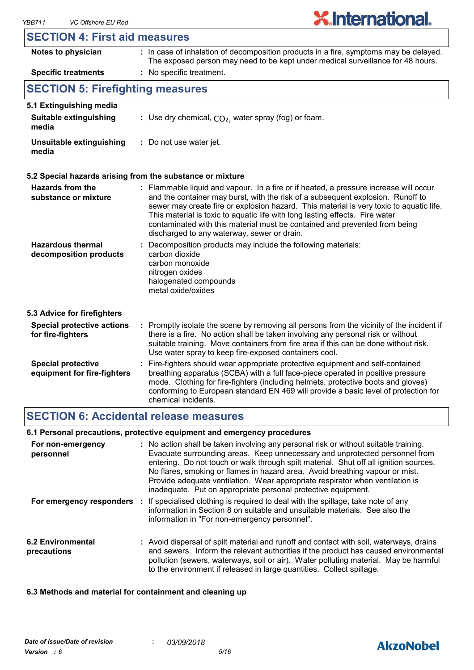### **SECTION 4: First aid measures**

| Notes to physician                      | : In case of inhalation of decomposition products in a fire, symptoms may be delayed.<br>The exposed person may need to be kept under medical surveillance for 48 hours. |
|-----------------------------------------|--------------------------------------------------------------------------------------------------------------------------------------------------------------------------|
| <b>Specific treatments</b>              | : No specific treatment.                                                                                                                                                 |
| <b>SECTION 5: Firefighting measures</b> |                                                                                                                                                                          |
| 5.1 Extinguishing media                 |                                                                                                                                                                          |
| Suitable extinguishing<br>media         | : Use dry chemical, $CO2$ , water spray (fog) or foam.                                                                                                                   |
| Unsuitable extinguishing<br>media       | : Do not use water jet.                                                                                                                                                  |

#### **5.2 Special hazards arising from the substance or mixture**

| <b>Hazards from the</b><br>substance or mixture          | : Flammable liquid and vapour. In a fire or if heated, a pressure increase will occur<br>and the container may burst, with the risk of a subsequent explosion. Runoff to<br>sewer may create fire or explosion hazard. This material is very toxic to aquatic life.<br>This material is toxic to aquatic life with long lasting effects. Fire water<br>contaminated with this material must be contained and prevented from being<br>discharged to any waterway, sewer or drain. |
|----------------------------------------------------------|----------------------------------------------------------------------------------------------------------------------------------------------------------------------------------------------------------------------------------------------------------------------------------------------------------------------------------------------------------------------------------------------------------------------------------------------------------------------------------|
| <b>Hazardous thermal</b><br>decomposition products       | : Decomposition products may include the following materials:<br>carbon dioxide<br>carbon monoxide<br>nitrogen oxides<br>halogenated compounds<br>metal oxide/oxides                                                                                                                                                                                                                                                                                                             |
| 5.3 Advice for firefighters                              |                                                                                                                                                                                                                                                                                                                                                                                                                                                                                  |
| <b>Special protective actions</b><br>for fire-fighters   | : Promptly isolate the scene by removing all persons from the vicinity of the incident if<br>there is a fire. No action shall be taken involving any personal risk or without<br>suitable training. Move containers from fire area if this can be done without risk.<br>Use water spray to keep fire-exposed containers cool.                                                                                                                                                    |
| <b>Special protective</b><br>equipment for fire-fighters | : Fire-fighters should wear appropriate protective equipment and self-contained<br>breathing apparatus (SCBA) with a full face-piece operated in positive pressure<br>mode. Clothing for fire-fighters (including helmets, protective boots and gloves)<br>conforming to European standard EN 469 will provide a basic level of protection for<br>chemical incidents.                                                                                                            |

### **SECTION 6: Accidental release measures**

#### **6.1 Personal precautions, protective equipment and emergency procedures**

| For non-emergency<br>personnel   | : No action shall be taken involving any personal risk or without suitable training.<br>Evacuate surrounding areas. Keep unnecessary and unprotected personnel from<br>entering. Do not touch or walk through spilt material. Shut off all ignition sources.<br>No flares, smoking or flames in hazard area. Avoid breathing vapour or mist.<br>Provide adequate ventilation. Wear appropriate respirator when ventilation is<br>inadequate. Put on appropriate personal protective equipment. |
|----------------------------------|------------------------------------------------------------------------------------------------------------------------------------------------------------------------------------------------------------------------------------------------------------------------------------------------------------------------------------------------------------------------------------------------------------------------------------------------------------------------------------------------|
|                                  | For emergency responders : If specialised clothing is required to deal with the spillage, take note of any<br>information in Section 8 on suitable and unsuitable materials. See also the<br>information in "For non-emergency personnel".                                                                                                                                                                                                                                                     |
| 6.2 Environmental<br>precautions | : Avoid dispersal of spilt material and runoff and contact with soil, waterways, drains<br>and sewers. Inform the relevant authorities if the product has caused environmental<br>pollution (sewers, waterways, soil or air). Water polluting material. May be harmful<br>to the environment if released in large quantities. Collect spillage.                                                                                                                                                |

#### **6.3 Methods and material for containment and cleaning up**

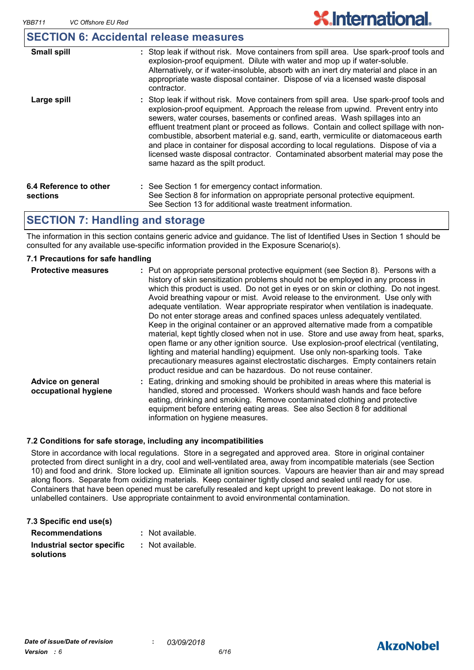### **SECTION 6: Accidental release measures**

| <b>Small spill</b>                 | : Stop leak if without risk. Move containers from spill area. Use spark-proof tools and<br>explosion-proof equipment. Dilute with water and mop up if water-soluble.<br>Alternatively, or if water-insoluble, absorb with an inert dry material and place in an<br>appropriate waste disposal container. Dispose of via a licensed waste disposal<br>contractor.                                                                                                                                                                                                                                                                                           |
|------------------------------------|------------------------------------------------------------------------------------------------------------------------------------------------------------------------------------------------------------------------------------------------------------------------------------------------------------------------------------------------------------------------------------------------------------------------------------------------------------------------------------------------------------------------------------------------------------------------------------------------------------------------------------------------------------|
| Large spill                        | : Stop leak if without risk. Move containers from spill area. Use spark-proof tools and<br>explosion-proof equipment. Approach the release from upwind. Prevent entry into<br>sewers, water courses, basements or confined areas. Wash spillages into an<br>effluent treatment plant or proceed as follows. Contain and collect spillage with non-<br>combustible, absorbent material e.g. sand, earth, vermiculite or diatomaceous earth<br>and place in container for disposal according to local regulations. Dispose of via a<br>licensed waste disposal contractor. Contaminated absorbent material may pose the<br>same hazard as the spilt product. |
| 6.4 Reference to other<br>sections | : See Section 1 for emergency contact information.<br>See Section 8 for information on appropriate personal protective equipment.<br>See Section 13 for additional waste treatment information.                                                                                                                                                                                                                                                                                                                                                                                                                                                            |

### **SECTION 7: Handling and storage**

The information in this section contains generic advice and guidance. The list of Identified Uses in Section 1 should be consulted for any available use-specific information provided in the Exposure Scenario(s).

#### **7.1 Precautions for safe handling**

| <b>Protective measures</b>                | : Put on appropriate personal protective equipment (see Section 8). Persons with a<br>history of skin sensitization problems should not be employed in any process in<br>which this product is used. Do not get in eyes or on skin or clothing. Do not ingest.<br>Avoid breathing vapour or mist. Avoid release to the environment. Use only with<br>adequate ventilation. Wear appropriate respirator when ventilation is inadequate.<br>Do not enter storage areas and confined spaces unless adequately ventilated.<br>Keep in the original container or an approved alternative made from a compatible<br>material, kept tightly closed when not in use. Store and use away from heat, sparks,<br>open flame or any other ignition source. Use explosion-proof electrical (ventilating,<br>lighting and material handling) equipment. Use only non-sparking tools. Take<br>precautionary measures against electrostatic discharges. Empty containers retain<br>product residue and can be hazardous. Do not reuse container. |
|-------------------------------------------|----------------------------------------------------------------------------------------------------------------------------------------------------------------------------------------------------------------------------------------------------------------------------------------------------------------------------------------------------------------------------------------------------------------------------------------------------------------------------------------------------------------------------------------------------------------------------------------------------------------------------------------------------------------------------------------------------------------------------------------------------------------------------------------------------------------------------------------------------------------------------------------------------------------------------------------------------------------------------------------------------------------------------------|
| Advice on general<br>occupational hygiene | : Eating, drinking and smoking should be prohibited in areas where this material is<br>handled, stored and processed. Workers should wash hands and face before<br>eating, drinking and smoking. Remove contaminated clothing and protective<br>equipment before entering eating areas. See also Section 8 for additional<br>information on hygiene measures.                                                                                                                                                                                                                                                                                                                                                                                                                                                                                                                                                                                                                                                                    |

#### **7.2 Conditions for safe storage, including any incompatibilities**

Store in accordance with local regulations. Store in a segregated and approved area. Store in original container protected from direct sunlight in a dry, cool and well-ventilated area, away from incompatible materials (see Section 10) and food and drink. Store locked up. Eliminate all ignition sources. Vapours are heavier than air and may spread along floors. Separate from oxidizing materials. Keep container tightly closed and sealed until ready for use. Containers that have been opened must be carefully resealed and kept upright to prevent leakage. Do not store in unlabelled containers. Use appropriate containment to avoid environmental contamination.

| 7.3 Specific end use(s)    |                  |
|----------------------------|------------------|
| <b>Recommendations</b>     | : Not available. |
| Industrial sector specific | : Not available. |
| solutions                  |                  |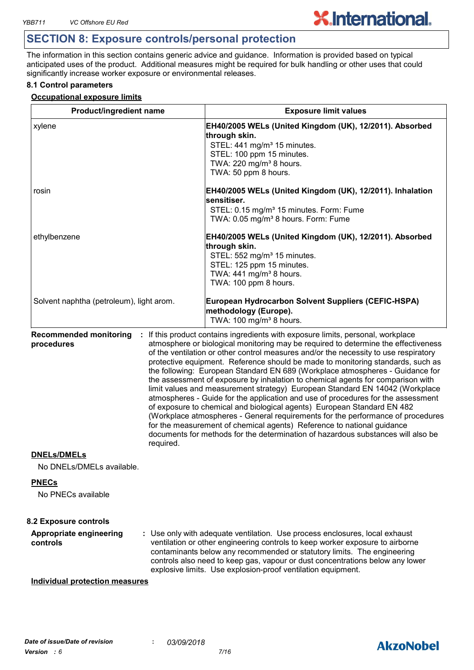## **SECTION 8: Exposure controls/personal protection**

The information in this section contains generic advice and guidance. Information is provided based on typical anticipated uses of the product. Additional measures might be required for bulk handling or other uses that could significantly increase worker exposure or environmental releases.

**X.International.** 

#### **8.1 Control parameters**

#### **Occupational exposure limits**

| <b>Product/ingredient name</b>                                      |           | <b>Exposure limit values</b>                                                                                                                                                                                                                                                                                                                                                                                                                                                                                                                                                                                                                                                                                                                                                                                                                                                                                                                                                                                        |  |  |
|---------------------------------------------------------------------|-----------|---------------------------------------------------------------------------------------------------------------------------------------------------------------------------------------------------------------------------------------------------------------------------------------------------------------------------------------------------------------------------------------------------------------------------------------------------------------------------------------------------------------------------------------------------------------------------------------------------------------------------------------------------------------------------------------------------------------------------------------------------------------------------------------------------------------------------------------------------------------------------------------------------------------------------------------------------------------------------------------------------------------------|--|--|
| xylene                                                              |           | EH40/2005 WELs (United Kingdom (UK), 12/2011). Absorbed<br>through skin.<br>STEL: 441 mg/m <sup>3</sup> 15 minutes.<br>STEL: 100 ppm 15 minutes.<br>TWA: 220 mg/m <sup>3</sup> 8 hours.<br>TWA: 50 ppm 8 hours.                                                                                                                                                                                                                                                                                                                                                                                                                                                                                                                                                                                                                                                                                                                                                                                                     |  |  |
| rosin                                                               |           | EH40/2005 WELs (United Kingdom (UK), 12/2011). Inhalation<br>sensitiser.<br>STEL: 0.15 mg/m <sup>3</sup> 15 minutes. Form: Fume<br>TWA: 0.05 mg/m <sup>3</sup> 8 hours. Form: Fume                                                                                                                                                                                                                                                                                                                                                                                                                                                                                                                                                                                                                                                                                                                                                                                                                                  |  |  |
| ethylbenzene                                                        |           | EH40/2005 WELs (United Kingdom (UK), 12/2011). Absorbed<br>through skin.<br>STEL: 552 mg/m <sup>3</sup> 15 minutes.<br>STEL: 125 ppm 15 minutes.<br>TWA: 441 mg/m <sup>3</sup> 8 hours.<br>TWA: 100 ppm 8 hours.                                                                                                                                                                                                                                                                                                                                                                                                                                                                                                                                                                                                                                                                                                                                                                                                    |  |  |
| Solvent naphtha (petroleum), light arom.                            |           | European Hydrocarbon Solvent Suppliers (CEFIC-HSPA)<br>methodology (Europe).<br>TWA: 100 mg/m <sup>3</sup> 8 hours.                                                                                                                                                                                                                                                                                                                                                                                                                                                                                                                                                                                                                                                                                                                                                                                                                                                                                                 |  |  |
| <b>Recommended monitoring</b><br>÷<br>procedures                    | required. | If this product contains ingredients with exposure limits, personal, workplace<br>atmosphere or biological monitoring may be required to determine the effectiveness<br>of the ventilation or other control measures and/or the necessity to use respiratory<br>protective equipment. Reference should be made to monitoring standards, such as<br>the following: European Standard EN 689 (Workplace atmospheres - Guidance for<br>the assessment of exposure by inhalation to chemical agents for comparison with<br>limit values and measurement strategy) European Standard EN 14042 (Workplace<br>atmospheres - Guide for the application and use of procedures for the assessment<br>of exposure to chemical and biological agents) European Standard EN 482<br>(Workplace atmospheres - General requirements for the performance of procedures<br>for the measurement of chemical agents) Reference to national guidance<br>documents for methods for the determination of hazardous substances will also be |  |  |
| <b>DNELs/DMELs</b><br>No DNELs/DMELs available.                     |           |                                                                                                                                                                                                                                                                                                                                                                                                                                                                                                                                                                                                                                                                                                                                                                                                                                                                                                                                                                                                                     |  |  |
| <b>PNECs</b><br>No PNECs available                                  |           |                                                                                                                                                                                                                                                                                                                                                                                                                                                                                                                                                                                                                                                                                                                                                                                                                                                                                                                                                                                                                     |  |  |
| <b>8.2 Exposure controls</b><br>Appropriate engineering<br>controls |           | : Use only with adequate ventilation. Use process enclosures, local exhaust<br>ventilation or other engineering controls to keep worker exposure to airborne<br>contaminants below any recommended or statutory limits. The engineering<br>controls also need to keep gas, vapour or dust concentrations below any lower<br>explosive limits. Use explosion-proof ventilation equipment.                                                                                                                                                                                                                                                                                                                                                                                                                                                                                                                                                                                                                            |  |  |
| <b>Individual protection measures</b>                               |           |                                                                                                                                                                                                                                                                                                                                                                                                                                                                                                                                                                                                                                                                                                                                                                                                                                                                                                                                                                                                                     |  |  |

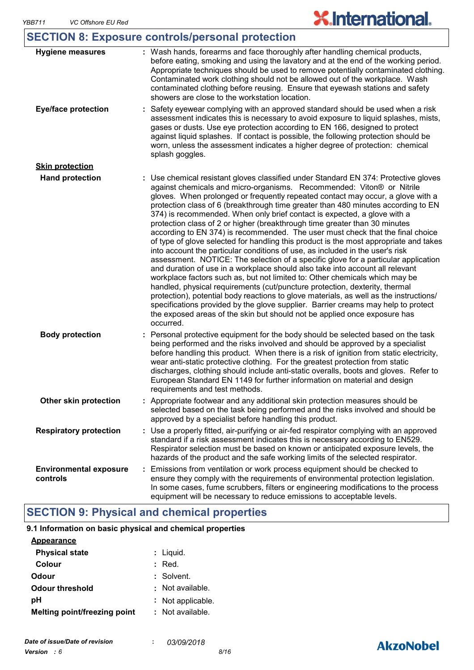# **SECTION 8: Exposure controls/personal protection**

| <b>Hygiene measures</b>                   | : Wash hands, forearms and face thoroughly after handling chemical products,<br>before eating, smoking and using the lavatory and at the end of the working period.<br>Appropriate techniques should be used to remove potentially contaminated clothing.<br>Contaminated work clothing should not be allowed out of the workplace. Wash<br>contaminated clothing before reusing. Ensure that eyewash stations and safety<br>showers are close to the workstation location.                                                                                                                                                                                                                                                                                                                                                                                                                                                                                                                                                                                                                                                                                                                                                                                                                                                                                              |
|-------------------------------------------|--------------------------------------------------------------------------------------------------------------------------------------------------------------------------------------------------------------------------------------------------------------------------------------------------------------------------------------------------------------------------------------------------------------------------------------------------------------------------------------------------------------------------------------------------------------------------------------------------------------------------------------------------------------------------------------------------------------------------------------------------------------------------------------------------------------------------------------------------------------------------------------------------------------------------------------------------------------------------------------------------------------------------------------------------------------------------------------------------------------------------------------------------------------------------------------------------------------------------------------------------------------------------------------------------------------------------------------------------------------------------|
| <b>Eye/face protection</b>                | : Safety eyewear complying with an approved standard should be used when a risk<br>assessment indicates this is necessary to avoid exposure to liquid splashes, mists,<br>gases or dusts. Use eye protection according to EN 166, designed to protect<br>against liquid splashes. If contact is possible, the following protection should be<br>worn, unless the assessment indicates a higher degree of protection: chemical<br>splash goggles.                                                                                                                                                                                                                                                                                                                                                                                                                                                                                                                                                                                                                                                                                                                                                                                                                                                                                                                         |
| <b>Skin protection</b>                    |                                                                                                                                                                                                                                                                                                                                                                                                                                                                                                                                                                                                                                                                                                                                                                                                                                                                                                                                                                                                                                                                                                                                                                                                                                                                                                                                                                          |
| <b>Hand protection</b>                    | : Use chemical resistant gloves classified under Standard EN 374: Protective gloves<br>against chemicals and micro-organisms. Recommended: Viton® or Nitrile<br>gloves. When prolonged or frequently repeated contact may occur, a glove with a<br>protection class of 6 (breakthrough time greater than 480 minutes according to EN<br>374) is recommended. When only brief contact is expected, a glove with a<br>protection class of 2 or higher (breakthrough time greater than 30 minutes<br>according to EN 374) is recommended. The user must check that the final choice<br>of type of glove selected for handling this product is the most appropriate and takes<br>into account the particular conditions of use, as included in the user's risk<br>assessment. NOTICE: The selection of a specific glove for a particular application<br>and duration of use in a workplace should also take into account all relevant<br>workplace factors such as, but not limited to: Other chemicals which may be<br>handled, physical requirements (cut/puncture protection, dexterity, thermal<br>protection), potential body reactions to glove materials, as well as the instructions/<br>specifications provided by the glove supplier. Barrier creams may help to protect<br>the exposed areas of the skin but should not be applied once exposure has<br>occurred. |
| <b>Body protection</b>                    | Personal protective equipment for the body should be selected based on the task<br>being performed and the risks involved and should be approved by a specialist<br>before handling this product. When there is a risk of ignition from static electricity,<br>wear anti-static protective clothing. For the greatest protection from static<br>discharges, clothing should include anti-static overalls, boots and gloves. Refer to<br>European Standard EN 1149 for further information on material and design<br>requirements and test methods.                                                                                                                                                                                                                                                                                                                                                                                                                                                                                                                                                                                                                                                                                                                                                                                                                       |
| Other skin protection                     | : Appropriate footwear and any additional skin protection measures should be<br>selected based on the task being performed and the risks involved and should be<br>approved by a specialist before handling this product.                                                                                                                                                                                                                                                                                                                                                                                                                                                                                                                                                                                                                                                                                                                                                                                                                                                                                                                                                                                                                                                                                                                                                |
| <b>Respiratory protection</b>             | : Use a properly fitted, air-purifying or air-fed respirator complying with an approved<br>standard if a risk assessment indicates this is necessary according to EN529.<br>Respirator selection must be based on known or anticipated exposure levels, the<br>hazards of the product and the safe working limits of the selected respirator.                                                                                                                                                                                                                                                                                                                                                                                                                                                                                                                                                                                                                                                                                                                                                                                                                                                                                                                                                                                                                            |
| <b>Environmental exposure</b><br>controls | Emissions from ventilation or work process equipment should be checked to<br>ensure they comply with the requirements of environmental protection legislation.<br>In some cases, fume scrubbers, filters or engineering modifications to the process<br>equipment will be necessary to reduce emissions to acceptable levels.                                                                                                                                                                                                                                                                                                                                                                                                                                                                                                                                                                                                                                                                                                                                                                                                                                                                                                                                                                                                                                            |

# **SECTION 9: Physical and chemical properties**

| 9.1 Information on basic physical and chemical properties |                  |
|-----------------------------------------------------------|------------------|
| <b>Appearance</b>                                         |                  |
| <b>Physical state</b>                                     | : Liquid.        |
| Colour                                                    | Red.             |
| Odour                                                     | : Solvent.       |
| <b>Odour threshold</b>                                    | : Not available. |
| рH                                                        | Not applicable.  |
| Melting point/freezing point                              | : Not available. |

# **AkzoNobel**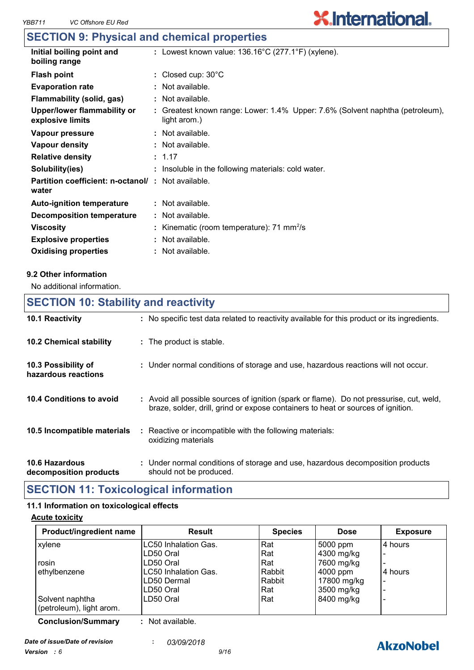### **SECTION 9: Physical and chemical properties**

| Initial boiling point and<br>: Lowest known value: $136.16^{\circ}$ C (277.1°F) (xylene).<br>boiling range                                       |  |
|--------------------------------------------------------------------------------------------------------------------------------------------------|--|
| : Closed cup: $30^{\circ}$ C<br><b>Flash point</b>                                                                                               |  |
| <b>Evaporation rate</b><br>: Not available.                                                                                                      |  |
| Flammability (solid, gas)<br>: Not available.                                                                                                    |  |
| Upper/lower flammability or<br>: Greatest known range: Lower: 1.4% Upper: 7.6% (Solvent naphtha (petroleum),<br>explosive limits<br>light arom.) |  |
| $:$ Not available.<br>Vapour pressure                                                                                                            |  |
| Vapour density<br>: Not available.                                                                                                               |  |
| <b>Relative density</b><br>: 1.17                                                                                                                |  |
| Solubility(ies)<br>: Insoluble in the following materials: cold water.                                                                           |  |
| <b>Partition coefficient: n-octanol/: Not available.</b><br>water                                                                                |  |
| : Not available.<br><b>Auto-ignition temperature</b>                                                                                             |  |
| Decomposition temperature<br>: Not available.                                                                                                    |  |
| : Kinematic (room temperature): $71 \text{ mm}^2/\text{s}$<br><b>Viscosity</b>                                                                   |  |
| $:$ Not available.<br><b>Explosive properties</b>                                                                                                |  |
| : Not available.<br><b>Oxidising properties</b>                                                                                                  |  |

#### **9.2 Other information**

No additional information.

**10.5 Incompatible materials :**

# **10.4 Conditions to avoid** : Avoid all possible sources of ignition (spark or flame). Do not pressurise, cut, weld, braze, solder, drill, grind or expose containers to heat or sources of ignition. **10.2 Chemical stability : The product is stable. 10.3 Possibility of hazardous reactions :** Under normal conditions of storage and use, hazardous reactions will not occur. **SECTION 10: Stability and reactivity 10.1 Reactivity :** No specific test data related to reactivity available for this product or its ingredients.

|                       | oxidizing materials                                                          |  |
|-----------------------|------------------------------------------------------------------------------|--|
| <b>10.6 Hazardous</b> | Under normal conditions of storage and use, hazardous decomposition products |  |

Reactive or incompatible with the following materials:

**decomposition products** should not be produced.

### **SECTION 11: Toxicological information**

#### **11.1 Information on toxicological effects**

#### **Acute toxicity**

| Product/ingredient name   | <b>Result</b>        | <b>Species</b> | <b>Dose</b> | <b>Exposure</b>          |
|---------------------------|----------------------|----------------|-------------|--------------------------|
| xylene                    | LC50 Inhalation Gas. | Rat            | 5000 ppm    | 4 hours                  |
|                           | LD50 Oral            | Rat            | 4300 mg/kg  | -                        |
| rosin                     | LD50 Oral            | Rat            | 7600 mg/kg  | -                        |
| ethylbenzene              | LC50 Inhalation Gas. | Rabbit         | 4000 ppm    | 4 hours                  |
|                           | LD50 Dermal          | Rabbit         | 17800 mg/kg | $\overline{\phantom{0}}$ |
|                           | LD50 Oral            | Rat            | 3500 mg/kg  | -                        |
| Solvent naphtha           | LD50 Oral            | Rat            | 8400 mg/kg  |                          |
| (petroleum), light arom.  |                      |                |             |                          |
| <b>Conclusion/Summary</b> | : Not available.     |                |             |                          |

*Date of issue/Date of revision* **:** *03/09/2018 Version : 6 9/16*

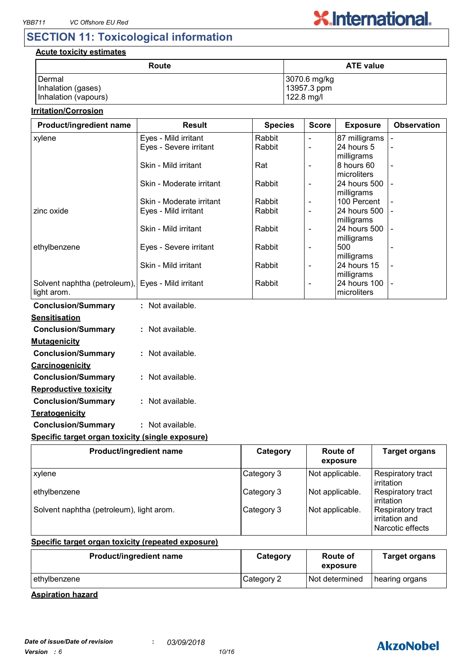

## **SECTION 11: Toxicological information**

#### **Acute toxicity estimates**

| Route                | <b>ATE value</b> |
|----------------------|------------------|
| Dermal               | 3070.6 mg/kg     |
| Inhalation (gases)   | 13957.3 ppm      |
| Inhalation (vapours) | 122.8 mg/l       |

#### **Irritation/Corrosion**

| Product/ingredient name                                          | <b>Result</b>            | <b>Species</b> | <b>Score</b>             | <b>Exposure</b>             | <b>Observation</b>       |
|------------------------------------------------------------------|--------------------------|----------------|--------------------------|-----------------------------|--------------------------|
| xylene                                                           | Eyes - Mild irritant     | Rabbit         | $\blacksquare$           | 87 milligrams               |                          |
|                                                                  | Eyes - Severe irritant   | Rabbit         |                          | 24 hours 5                  |                          |
|                                                                  |                          |                |                          | milligrams                  |                          |
|                                                                  | Skin - Mild irritant     | Rat            | $\blacksquare$           | 8 hours 60                  | $\blacksquare$           |
|                                                                  |                          |                |                          | microliters                 |                          |
|                                                                  | Skin - Moderate irritant | Rabbit         | $\overline{\phantom{a}}$ | 24 hours 500<br>milligrams  |                          |
|                                                                  | Skin - Moderate irritant | Rabbit         | $\blacksquare$           | 100 Percent                 |                          |
| zinc oxide                                                       | Eyes - Mild irritant     | Rabbit         | $\blacksquare$           | 24 hours 500                |                          |
|                                                                  |                          |                |                          | milligrams                  |                          |
|                                                                  | Skin - Mild irritant     | Rabbit         | $\overline{\phantom{a}}$ | 24 hours 500                |                          |
|                                                                  |                          |                |                          | milligrams                  |                          |
| ethylbenzene                                                     | Eyes - Severe irritant   | Rabbit         | $\overline{\phantom{a}}$ | 500                         |                          |
|                                                                  |                          |                |                          | milligrams                  |                          |
|                                                                  | Skin - Mild irritant     | Rabbit         | $\blacksquare$           | 24 hours 15                 | $\overline{\phantom{a}}$ |
|                                                                  |                          |                |                          | milligrams                  |                          |
| Solvent naphtha (petroleum), Eyes - Mild irritant<br>light arom. |                          | Rabbit         | $\overline{\phantom{a}}$ | 24 hours 100<br>microliters |                          |
|                                                                  |                          |                |                          |                             |                          |
| <b>Conclusion/Summary</b>                                        | : Not available.         |                |                          |                             |                          |
| <b>Sensitisation</b>                                             |                          |                |                          |                             |                          |
| <b>Conclusion/Summary</b>                                        | : Not available.         |                |                          |                             |                          |
| <b>Mutagenicity</b>                                              |                          |                |                          |                             |                          |
|                                                                  |                          |                |                          |                             |                          |
| <b>Conclusion/Summary</b>                                        | : Not available.         |                |                          |                             |                          |
| Carcinogenicity                                                  |                          |                |                          |                             |                          |
| <b>Conclusion/Summary</b>                                        | : Not available.         |                |                          |                             |                          |
| <b>Reproductive toxicity</b>                                     |                          |                |                          |                             |                          |
| <b>Conclusion/Summary</b>                                        | : Not available.         |                |                          |                             |                          |

# **Conclusion/Summary :** Not available.

#### **Specific target organ toxicity (single exposure)**

| Product/ingredient name                  | Category   | Route of<br>exposure | <b>Target organs</b>                                    |
|------------------------------------------|------------|----------------------|---------------------------------------------------------|
| xylene                                   | Category 3 | Not applicable.      | Respiratory tract<br>irritation                         |
| ethylbenzene                             | Category 3 | Not applicable.      | Respiratory tract<br>irritation                         |
| Solvent naphtha (petroleum), light arom. | Category 3 | Not applicable.      | Respiratory tract<br>irritation and<br>Narcotic effects |

#### **Specific target organ toxicity (repeated exposure)**

| Product/ingredient name | Category   | Route of<br>exposure | <b>Target organs</b> |
|-------------------------|------------|----------------------|----------------------|
| ethylbenzene            | Category 2 | Not determined       | hearing organs       |

#### **Aspiration hazard**

**Teratogenicity**

# **AkzoNobel**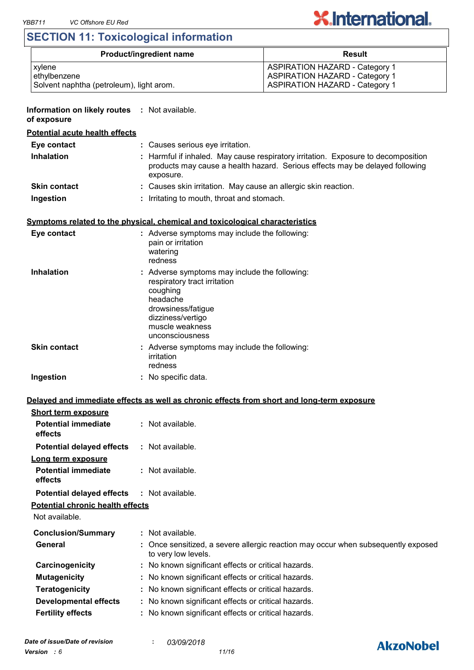# **SECTION 11: Toxicological information**

| <b>Product/ingredient name</b>           | Result                                |
|------------------------------------------|---------------------------------------|
| xylene                                   | <b>ASPIRATION HAZARD - Category 1</b> |
| ethylbenzene                             | <b>ASPIRATION HAZARD - Category 1</b> |
| Solvent naphtha (petroleum), light arom. | <b>ASPIRATION HAZARD - Category 1</b> |

#### **Information on likely routes : Not available.**

#### **of exposure**

### **Potential acute health effects**

| Eye contact         | : Causes serious eye irritation.                                                                                                                                               |
|---------------------|--------------------------------------------------------------------------------------------------------------------------------------------------------------------------------|
| <b>Inhalation</b>   | : Harmful if inhaled. May cause respiratory irritation. Exposure to decomposition<br>products may cause a health hazard. Serious effects may be delayed following<br>exposure. |
| <b>Skin contact</b> | : Causes skin irritation. May cause an allergic skin reaction.                                                                                                                 |
| Ingestion           | Irritating to mouth, throat and stomach.                                                                                                                                       |

#### **Symptoms related to the physical, chemical and toxicological characteristics**

| Eye contact         | : Adverse symptoms may include the following:<br>pain or irritation<br>watering<br>redness                                                                                             |
|---------------------|----------------------------------------------------------------------------------------------------------------------------------------------------------------------------------------|
| <b>Inhalation</b>   | : Adverse symptoms may include the following:<br>respiratory tract irritation<br>coughing<br>headache<br>drowsiness/fatigue<br>dizziness/vertigo<br>muscle weakness<br>unconsciousness |
| <b>Skin contact</b> | : Adverse symptoms may include the following:<br>irritation<br>redness                                                                                                                 |
| Ingestion           | : No specific data.                                                                                                                                                                    |

#### **Delayed and immediate effects as well as chronic effects from short and long-term exposure**

| <b>Short term exposure</b>                        |                                                                                                          |  |
|---------------------------------------------------|----------------------------------------------------------------------------------------------------------|--|
| <b>Potential immediate</b><br>effects             | : Not available.                                                                                         |  |
| <b>Potential delayed effects</b>                  | : Not available.                                                                                         |  |
| Long term exposure                                |                                                                                                          |  |
| <b>Potential immediate</b><br>effects             | : Not available.                                                                                         |  |
| <b>Potential delayed effects : Not available.</b> |                                                                                                          |  |
| <b>Potential chronic health effects</b>           |                                                                                                          |  |
| Not available.                                    |                                                                                                          |  |
| <b>Conclusion/Summary</b>                         | : Not available.                                                                                         |  |
| General                                           | : Once sensitized, a severe allergic reaction may occur when subsequently exposed<br>to very low levels. |  |
| Carcinogenicity                                   | : No known significant effects or critical hazards.                                                      |  |
| <b>Mutagenicity</b>                               | : No known significant effects or critical hazards.                                                      |  |
| <b>Teratogenicity</b>                             | : No known significant effects or critical hazards.                                                      |  |
| <b>Developmental effects</b>                      | : No known significant effects or critical hazards.                                                      |  |
| <b>Fertility effects</b>                          | : No known significant effects or critical hazards.                                                      |  |

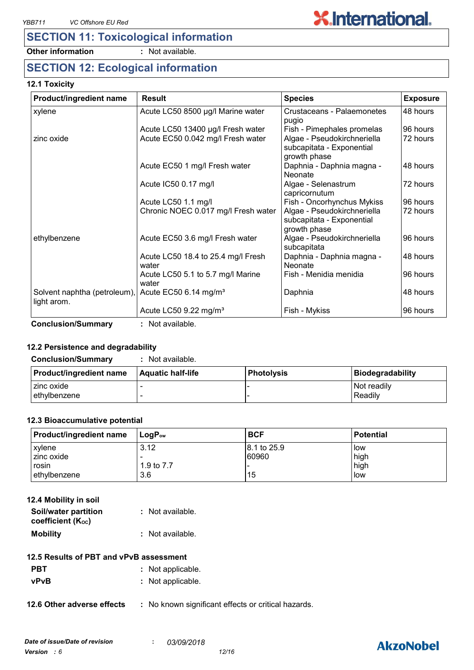# **SECTION 11: Toxicological information**

**Other information :** Not available.

## **SECTION 12: Ecological information**

#### **12.1 Toxicity**

| Product/ingredient name                     | <b>Result</b>                               | <b>Species</b>                                                           | <b>Exposure</b> |
|---------------------------------------------|---------------------------------------------|--------------------------------------------------------------------------|-----------------|
| xylene                                      | Acute LC50 8500 µg/l Marine water           | Crustaceans - Palaemonetes<br>pugio                                      | 48 hours        |
|                                             | Acute LC50 13400 µg/l Fresh water           | Fish - Pimephales promelas                                               | 96 hours        |
| zinc oxide                                  | Acute EC50 0.042 mg/l Fresh water           | Algae - Pseudokirchneriella<br>subcapitata - Exponential<br>growth phase | 72 hours        |
|                                             | Acute EC50 1 mg/l Fresh water               | Daphnia - Daphnia magna -<br>Neonate                                     | 48 hours        |
|                                             | Acute IC50 0.17 mg/l                        | Algae - Selenastrum<br>capricornutum                                     | 72 hours        |
|                                             | Acute LC50 1.1 mg/l                         | Fish - Oncorhynchus Mykiss                                               | 96 hours        |
|                                             | Chronic NOEC 0.017 mg/l Fresh water         | Algae - Pseudokirchneriella<br>subcapitata - Exponential<br>growth phase | 72 hours        |
| ethylbenzene                                | Acute EC50 3.6 mg/l Fresh water             | Algae - Pseudokirchneriella<br>subcapitata                               | 96 hours        |
|                                             | Acute LC50 18.4 to 25.4 mg/l Fresh<br>water | Daphnia - Daphnia magna -<br>Neonate                                     | 48 hours        |
|                                             | Acute LC50 5.1 to 5.7 mg/l Marine<br>water  | Fish - Menidia menidia                                                   | 96 hours        |
| Solvent naphtha (petroleum),<br>light arom. | Acute EC50 $6.14$ mg/m <sup>3</sup>         | Daphnia                                                                  | 48 hours        |
|                                             | Acute LC50 $9.22 \text{ mg/m}^3$            | Fish - Mykiss                                                            | 96 hours        |

**Conclusion/Summary :** Not available.

#### **12.2 Persistence and degradability**

**Conclusion/Summary :** Not available.

| Product/ingredient name | <b>Aquatic half-life</b> | <b>Photolysis</b> | Biodegradability |
|-------------------------|--------------------------|-------------------|------------------|
| I zinc oxide            |                          |                   | l Not readilv    |
| lethylbenzene           |                          |                   | Readily          |

#### **12.3 Bioaccumulative potential**

| <b>Product/ingredient name</b> | ⊺LoqP <sub>ow</sub> | <b>BCF</b>   | <b>Potential</b> |
|--------------------------------|---------------------|--------------|------------------|
| xylene                         | 3.12                | 18.1 to 25.9 | <b>I</b> ow      |
| zinc oxide                     |                     | 60960        | high             |
| rosin                          | 1.9 to 7.7          |              | high             |
| ethylbenzene                   | 3.6                 | 15           | low              |

| 12.4 Mobility in soil |                  |
|-----------------------|------------------|
| Soil/water partition  | : Not available. |
| coefficient (Koc)     |                  |
| <b>Mobility</b>       | : Not available. |

#### **12.5 Results of PBT and vPvB assessment**

| <b>PBT</b> | : Not applicable. |
|------------|-------------------|
| vPvB       | : Not applicable. |

**12.6 Other adverse effects** : No known significant effects or critical hazards.

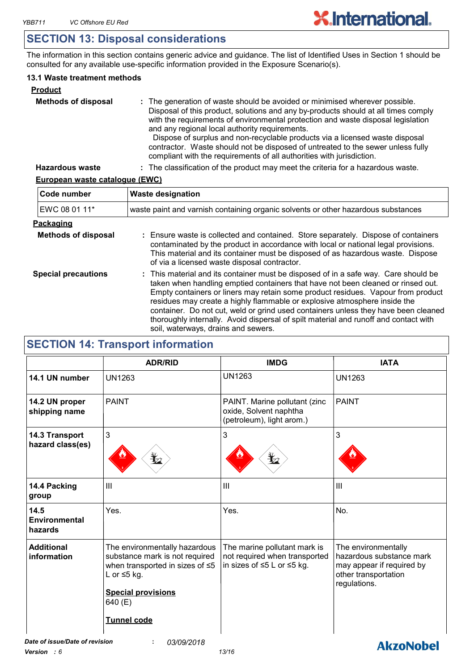## **SECTION 13: Disposal considerations**

The information in this section contains generic advice and guidance. The list of Identified Uses in Section 1 should be consulted for any available use-specific information provided in the Exposure Scenario(s).

#### **13.1 Waste treatment methods**

| <b>Product</b>             |                                                                                                                                                                                                                                                                                                                                                                                                                                                                                                                                                     |
|----------------------------|-----------------------------------------------------------------------------------------------------------------------------------------------------------------------------------------------------------------------------------------------------------------------------------------------------------------------------------------------------------------------------------------------------------------------------------------------------------------------------------------------------------------------------------------------------|
| <b>Methods of disposal</b> | : The generation of waste should be avoided or minimised wherever possible.<br>Disposal of this product, solutions and any by-products should at all times comply<br>with the requirements of environmental protection and waste disposal legislation<br>and any regional local authority requirements.<br>Dispose of surplus and non-recyclable products via a licensed waste disposal<br>contractor. Waste should not be disposed of untreated to the sewer unless fully<br>compliant with the requirements of all authorities with jurisdiction. |
| <b>Hazardous waste</b>     | : The classification of the product may meet the criteria for a hazardous waste.                                                                                                                                                                                                                                                                                                                                                                                                                                                                    |

#### **European waste catalogue (EWC)**

| Code number                | <b>Waste designation</b><br>waste paint and varnish containing organic solvents or other hazardous substances                                                                                                                                                                                                                                                                                                                                                                                                                                                 |  |  |
|----------------------------|---------------------------------------------------------------------------------------------------------------------------------------------------------------------------------------------------------------------------------------------------------------------------------------------------------------------------------------------------------------------------------------------------------------------------------------------------------------------------------------------------------------------------------------------------------------|--|--|
| EWC 08 01 11*              |                                                                                                                                                                                                                                                                                                                                                                                                                                                                                                                                                               |  |  |
| Packaging                  |                                                                                                                                                                                                                                                                                                                                                                                                                                                                                                                                                               |  |  |
| <b>Methods of disposal</b> | : Ensure waste is collected and contained. Store separately. Dispose of containers<br>contaminated by the product in accordance with local or national legal provisions.<br>This material and its container must be disposed of as hazardous waste. Dispose<br>of via a licensed waste disposal contractor.                                                                                                                                                                                                                                                   |  |  |
| <b>Special precautions</b> | : This material and its container must be disposed of in a safe way. Care should be<br>taken when handling emptied containers that have not been cleaned or rinsed out.<br>Empty containers or liners may retain some product residues. Vapour from product<br>residues may create a highly flammable or explosive atmosphere inside the<br>container. Do not cut, weld or grind used containers unless they have been cleaned<br>thoroughly internally. Avoid dispersal of spilt material and runoff and contact with<br>soil, waterways, drains and sewers. |  |  |

# **SECTION 14: Transport information**

|                                                                                                                                                                                                                           | <b>ADR/RID</b> | <b>IMDG</b>                                                                                 | <b>IATA</b>                                                                                                          |
|---------------------------------------------------------------------------------------------------------------------------------------------------------------------------------------------------------------------------|----------------|---------------------------------------------------------------------------------------------|----------------------------------------------------------------------------------------------------------------------|
| 14.1 UN number                                                                                                                                                                                                            | <b>UN1263</b>  | <b>UN1263</b>                                                                               | <b>UN1263</b>                                                                                                        |
| 14.2 UN proper<br>shipping name                                                                                                                                                                                           | <b>PAINT</b>   | PAINT. Marine pollutant (zinc<br>oxide, Solvent naphtha<br>(petroleum), light arom.)        | <b>PAINT</b>                                                                                                         |
| 14.3 Transport<br>hazard class(es)                                                                                                                                                                                        | 3              | 3                                                                                           | 3                                                                                                                    |
| 14.4 Packing<br>group                                                                                                                                                                                                     | III            | III                                                                                         | III                                                                                                                  |
| 14.5<br>Environmental<br>hazards                                                                                                                                                                                          | Yes.           | Yes.                                                                                        | No.                                                                                                                  |
| <b>Additional</b><br>The environmentally hazardous<br>information<br>substance mark is not required<br>when transported in sizes of ≤5<br>L or $\leq$ 5 kg.<br><b>Special provisions</b><br>640 (E)<br><b>Tunnel code</b> |                | The marine pollutant mark is<br>not required when transported<br>in sizes of ≤5 L or ≤5 kg. | The environmentally<br>hazardous substance mark<br>may appear if required by<br>other transportation<br>regulations. |
| Date of issue/Date of revision                                                                                                                                                                                            | 03/09/2018     |                                                                                             | <b>AkzoNobel</b>                                                                                                     |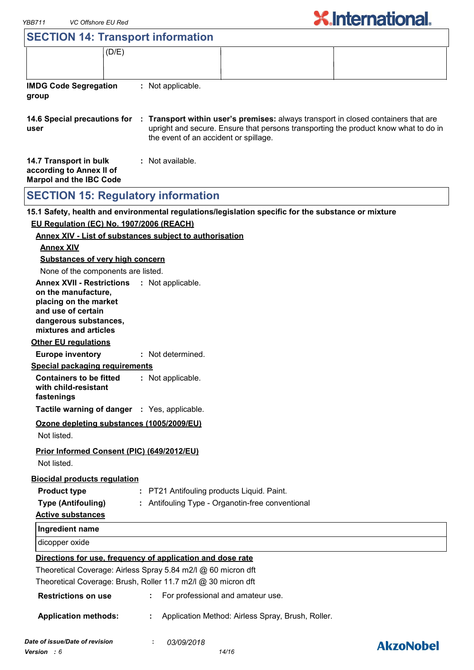| YBB711                                                                                                                                                   | <b>VC Offshore EU Red</b> |                                                                |                                                                                                                                                                           | <b>X.International.</b> |
|----------------------------------------------------------------------------------------------------------------------------------------------------------|---------------------------|----------------------------------------------------------------|---------------------------------------------------------------------------------------------------------------------------------------------------------------------------|-------------------------|
|                                                                                                                                                          |                           | <b>SECTION 14: Transport information</b>                       |                                                                                                                                                                           |                         |
|                                                                                                                                                          | (D/E)                     |                                                                |                                                                                                                                                                           |                         |
| <b>IMDG Code Segregation</b><br>group                                                                                                                    |                           | : Not applicable.                                              |                                                                                                                                                                           |                         |
| 14.6 Special precautions for<br>user                                                                                                                     |                           | the event of an accident or spillage.                          | : Transport within user's premises: always transport in closed containers that are<br>upright and secure. Ensure that persons transporting the product know what to do in |                         |
| 14.7 Transport in bulk<br>according to Annex II of<br><b>Marpol and the IBC Code</b>                                                                     |                           | : Not available.                                               |                                                                                                                                                                           |                         |
|                                                                                                                                                          |                           | <b>SECTION 15: Regulatory information</b>                      |                                                                                                                                                                           |                         |
|                                                                                                                                                          |                           |                                                                | 15.1 Safety, health and environmental regulations/legislation specific for the substance or mixture                                                                       |                         |
| EU Regulation (EC) No. 1907/2006 (REACH)                                                                                                                 |                           |                                                                |                                                                                                                                                                           |                         |
|                                                                                                                                                          |                           | <b>Annex XIV - List of substances subject to authorisation</b> |                                                                                                                                                                           |                         |
| <b>Annex XIV</b>                                                                                                                                         |                           |                                                                |                                                                                                                                                                           |                         |
| <b>Substances of very high concern</b>                                                                                                                   |                           |                                                                |                                                                                                                                                                           |                         |
| None of the components are listed.                                                                                                                       |                           |                                                                |                                                                                                                                                                           |                         |
| <b>Annex XVII - Restrictions</b><br>on the manufacture,<br>placing on the market<br>and use of certain<br>dangerous substances,<br>mixtures and articles |                           | : Not applicable.                                              |                                                                                                                                                                           |                         |
| <b>Other EU regulations</b>                                                                                                                              |                           |                                                                |                                                                                                                                                                           |                         |
| <b>Europe inventory</b>                                                                                                                                  |                           | : Not determined.                                              |                                                                                                                                                                           |                         |
| Special packaging requirements                                                                                                                           |                           |                                                                |                                                                                                                                                                           |                         |
| <b>Containers to be fitted</b><br>with child-resistant<br>fastenings                                                                                     |                           | : Not applicable.                                              |                                                                                                                                                                           |                         |
|                                                                                                                                                          |                           | Tactile warning of danger : Yes, applicable.                   |                                                                                                                                                                           |                         |
| Not listed.                                                                                                                                              |                           | Ozone depleting substances (1005/2009/EU)                      |                                                                                                                                                                           |                         |
|                                                                                                                                                          |                           | Prior Informed Consent (PIC) (649/2012/EU)                     |                                                                                                                                                                           |                         |

Not listed.

#### **Biocidal products regulation**

**Product type :** PT21 Antifouling products Liquid. Paint.

**Type (Antifouling) :** Antifouling Type - Organotin-free conventional

# **Active substances**

| Ingredient name |  |
|-----------------|--|
| dicopper oxide  |  |

### **Directions for use, frequency of application and dose rate**

Theoretical Coverage: Airless Spray 5.84 m2/l @ 60 micron dft Theoretical Coverage: Brush, Roller 11.7 m2/l @ 30 micron dft

| <b>Restrictions on use</b> |  | For professional and amateur use. |
|----------------------------|--|-----------------------------------|
|----------------------------|--|-----------------------------------|

**Application methods: :** Application Method: Airless Spray, Brush, Roller.

*Date of issue/Date of revision* **:** *03/09/2018 Version : 6 14/16*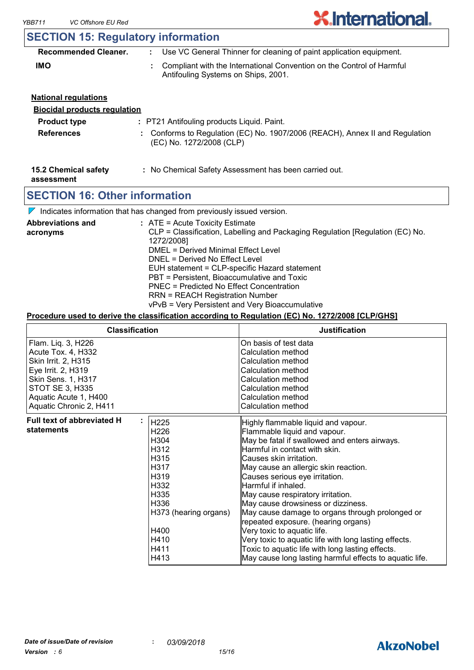

## **SECTION 15: Regulatory information**

| <b>Recommended Cleaner.</b> | Use VC General Thinner for cleaning of paint application equipment.                                            |  |
|-----------------------------|----------------------------------------------------------------------------------------------------------------|--|
| <b>IMO</b>                  | : Compliant with the International Convention on the Control of Harmful<br>Antifouling Systems on Ships, 2001. |  |

| <b>National requlations</b>         |                                                                                                          |
|-------------------------------------|----------------------------------------------------------------------------------------------------------|
| <b>Biocidal products requlation</b> |                                                                                                          |
| <b>Product type</b>                 | : PT21 Antifouling products Liquid. Paint.                                                               |
| <b>References</b>                   | : Conforms to Regulation (EC) No. 1907/2006 (REACH), Annex II and Regulation<br>(EC) No. 1272/2008 (CLP) |

#### **15.2 Chemical safety :** No Chemical Safety Assessment has been carried out.

**assessment**

### **SECTION 16: Other information**

 $\nabla$  Indicates information that has changed from previously issued version.

| <b>Abbreviations and</b> | : ATE = Acute Toxicity Estimate                                               |
|--------------------------|-------------------------------------------------------------------------------|
| acronyms                 | CLP = Classification, Labelling and Packaging Regulation [Regulation (EC) No. |
|                          | 1272/2008]                                                                    |
|                          | DMEL = Derived Minimal Effect Level                                           |
|                          | DNEL = Derived No Effect Level                                                |
|                          | EUH statement = CLP-specific Hazard statement                                 |
|                          | PBT = Persistent, Bioaccumulative and Toxic                                   |
|                          | PNEC = Predicted No Effect Concentration                                      |
|                          | <b>RRN = REACH Registration Number</b>                                        |
|                          | vPvB = Very Persistent and Very Bioaccumulative                               |

#### **Procedure used to derive the classification according to Regulation (EC) No. 1272/2008 [CLP/GHS]**

| <b>Classification</b>                                                                                                                                                              |                                                                                                                                                   | <b>Justification</b>                                                                                                                                                                                                                                                                                                                                                                                                                                                                                                                                                                                                                                          |
|------------------------------------------------------------------------------------------------------------------------------------------------------------------------------------|---------------------------------------------------------------------------------------------------------------------------------------------------|---------------------------------------------------------------------------------------------------------------------------------------------------------------------------------------------------------------------------------------------------------------------------------------------------------------------------------------------------------------------------------------------------------------------------------------------------------------------------------------------------------------------------------------------------------------------------------------------------------------------------------------------------------------|
| Flam. Liq. 3, H226<br>Acute Tox. 4, H332<br>Skin Irrit. 2, H315<br>Eye Irrit. 2, H319<br>Skin Sens. 1, H317<br>STOT SE 3, H335<br>Aquatic Acute 1, H400<br>Aquatic Chronic 2, H411 |                                                                                                                                                   | On basis of test data<br>Calculation method<br>Calculation method<br>Calculation method<br>Calculation method<br>Calculation method<br>Calculation method<br>Calculation method                                                                                                                                                                                                                                                                                                                                                                                                                                                                               |
| <b>Full text of abbreviated H</b><br>statements                                                                                                                                    | H225<br>H <sub>226</sub><br>H304<br>H312<br>H315<br>H317<br>H319<br>H332<br>H335<br>H336<br>H373 (hearing organs)<br>H400<br>H410<br>H411<br>H413 | Highly flammable liquid and vapour.<br>Flammable liquid and vapour.<br>May be fatal if swallowed and enters airways.<br>Harmful in contact with skin.<br>Causes skin irritation.<br>May cause an allergic skin reaction.<br>Causes serious eye irritation.<br>Harmful if inhaled.<br>May cause respiratory irritation.<br>May cause drowsiness or dizziness.<br>May cause damage to organs through prolonged or<br>repeated exposure. (hearing organs)<br>Very toxic to aquatic life.<br>Very toxic to aquatic life with long lasting effects.<br>Toxic to aquatic life with long lasting effects.<br>May cause long lasting harmful effects to aquatic life. |